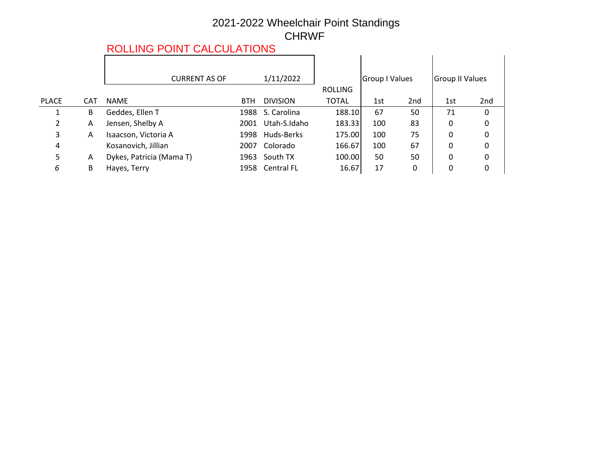## 2021-2022 Wheelchair Point Standings CHRWF

# ROLLING POINT CALCULATIONS

|            | <b>CURRENT AS OF</b>     |            | 1/11/2022       |                                 |     |                                                | <b>Group II Values</b> |             |
|------------|--------------------------|------------|-----------------|---------------------------------|-----|------------------------------------------------|------------------------|-------------|
|            |                          |            |                 | <b>ROLLING</b>                  |     |                                                |                        |             |
| <b>CAT</b> | <b>NAME</b>              | <b>BTH</b> | <b>DIVISION</b> | <b>TOTAL</b>                    | 1st | 2 <sub>nd</sub>                                | 1st                    | 2nd         |
| В          | Geddes, Ellen T          |            | S. Carolina     |                                 | 67  | 50                                             | 71                     | 0           |
| A          | Jensen, Shelby A         | 2001       | Utah-S.Idaho    |                                 | 100 | 83                                             | 0                      | 0           |
| A          | Isaacson, Victoria A     | 1998       | Huds-Berks      |                                 | 100 | 75                                             | 0                      | 0           |
|            | Kosanovich, Jillian      | 2007       | Colorado        |                                 | 100 | 67                                             | 0                      | $\mathbf 0$ |
| A          | Dykes, Patricia (Mama T) |            | South TX        |                                 | 50  | 50                                             | 0                      | 0           |
| B          | Hayes, Terry             |            |                 | 16.67                           | 17  | 0                                              | 0                      | 0           |
|            |                          |            |                 | 1988<br>1963<br>1958 Central FL |     | 188.10<br>183.33<br>175.00<br>166.67<br>100.00 | Group I Values         |             |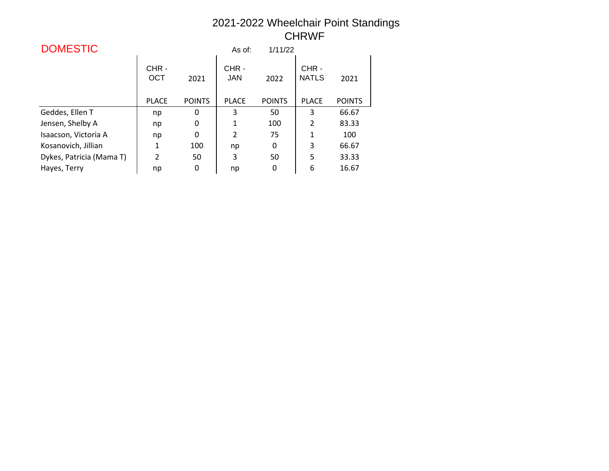#### 2021-2022 Wheelchair Point Standings CHRWF

| <b>DOMESTIC</b>          |                    |               | As of:             | 1/11/22       |                      |               |
|--------------------------|--------------------|---------------|--------------------|---------------|----------------------|---------------|
|                          | CHR-<br><b>OCT</b> | 2021          | CHR-<br><b>JAN</b> | 2022          | CHR-<br><b>NATLS</b> | 2021          |
|                          | <b>PLACE</b>       | <b>POINTS</b> | <b>PLACE</b>       | <b>POINTS</b> | <b>PLACE</b>         | <b>POINTS</b> |
| Geddes, Ellen T          | np                 | 0             | 3                  | 50            | 3                    | 66.67         |
| Jensen, Shelby A         | np                 | 0             | 1                  | 100           | $\overline{2}$       | 83.33         |
| Isaacson, Victoria A     | np                 | 0             | $\overline{2}$     | 75            | 1                    | 100           |
| Kosanovich, Jillian      | 1                  | 100           | np                 | 0             | 3                    | 66.67         |
| Dykes, Patricia (Mama T) | $\overline{2}$     | 50            | 3                  | 50            | 5                    | 33.33         |
| Hayes, Terry             | np                 | 0             | np                 | 0             | 6                    | 16.67         |